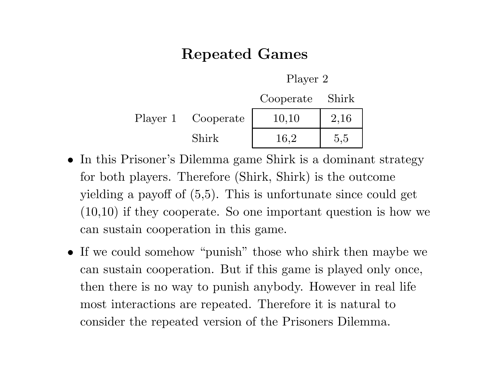## **Repeated Games**

Player 2

|                    | Cooperate Shirk |      |
|--------------------|-----------------|------|
| Player 1 Cooperate | 10,10           | 2,16 |
| Shirk              | 16,2            | 5,5  |

- *•* In this Prisoner's Dilemma game Shirk is <sup>a</sup> dominant strategy for both <sup>p</sup>layers. Therefore (Shirk, Shirk) is the outcome <sup>y</sup>ielding <sup>a</sup> payoff of (5,5). This is unfortunate since could get (10,10) if they cooperate. So one important question is how we can sustain cooperation in this game.
- If we could somehow "punish" those who shirk then maybe we can sustain cooperation. But if this game is <sup>p</sup>layed only once, then there is no way to punish anybody. However in real life most interactions are repeated. Therefore it is natural to consider the repeated version of the Prisoners Dilemma.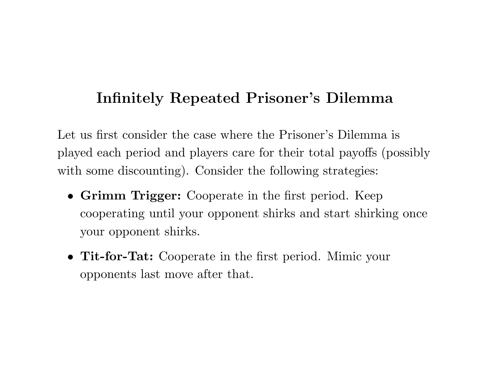## **Infinitely Repeated Prisoner's Dilemma**

Let us first consider the case where the Prisoner's Dilemma is <sup>p</sup>layed each period and <sup>p</sup>layers care for their total payoffs (possibly with some discounting). Consider the following strategies:

- *•* **Grimm Trigger:** Cooperate in the first period. Keep cooperating until your opponent shirks and start shirking once your opponent shirks.
- *•* **Tit-for-Tat:** Cooperate in the first period. Mimic your opponents last move after that.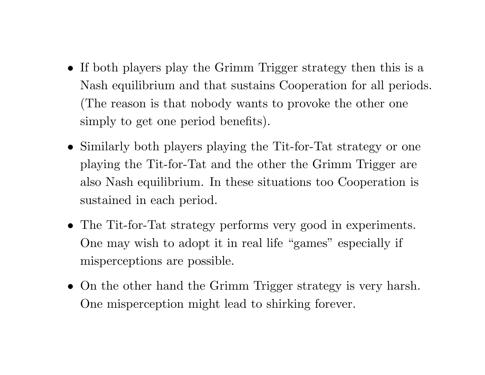- *•* If both <sup>p</sup>layers <sup>p</sup>lay the Grimm Trigger strategy then this is <sup>a</sup> Nash equilibrium and that sustains Cooperation for all periods. (The reason is that nobody wants to provoke the other one simply to get one period benefits).
- *•* Similarly both <sup>p</sup>layers <sup>p</sup>laying the Tit-for-Tat strategy or one <sup>p</sup>laying the Tit-for-Tat and the other the Grimm Trigger are also Nash equilibrium. In these situations too Cooperation is sustained in each period.
- *•* The Tit-for-Tat strategy performs very good in experiments. One may wish to adopt it in real life "games" especially if misperceptions are possible.
- *•* On the other hand the Grimm Trigger strategy is very harsh. One misperception might lead to shirking forever.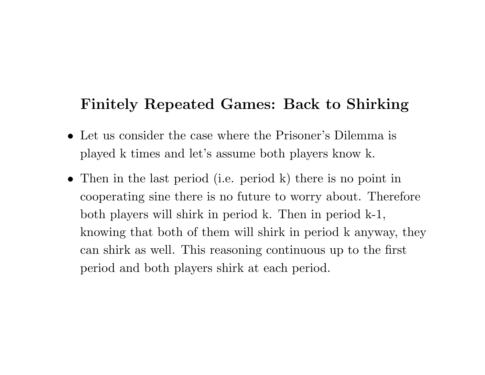## **Finitely Repeated Games: Back to Shirking**

- *•* Let us consider the case where the Prisoner's Dilemma is played k times and let's assume both players know k.
- *•* Then in the last period (i.e. period k) there is no point in cooperating sine there is no future to worry about. Therefore both players will shirk in period k. Then in period k-1, knowing that both of them will shirk in period k anyway, they can shirk as well. This reasoning continuous up to the first period and both players shirk at each period.